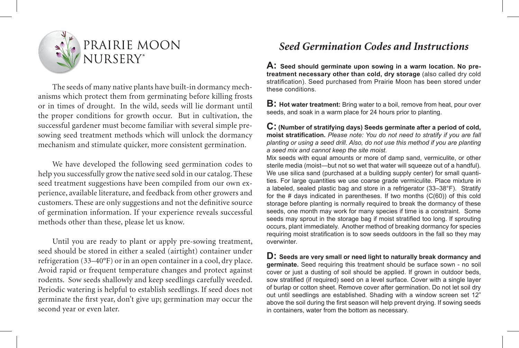

The seeds of many native plants have built-in dormancy mechanisms which protect them from germinating before killing frosts or in times of drought. In the wild, seeds will lie dormant until the proper conditions for growth occur. But in cultivation, the successful gardener must become familiar with several simple presowing seed treatment methods which will unlock the dormancy mechanism and stimulate quicker, more consistent germination.

We have developed the following seed germination codes to help you successfully grow the native seed sold in our catalog. These seed treatment suggestions have been compiled from our own experience, available literature, and feedback from other growers and customers. These are only suggestions and not the definitive source of germination information. If your experience reveals successful methods other than these, please let us know.

Until you are ready to plant or apply pre-sowing treatment, seed should be stored in either a sealed (airtight) container under refrigeration (33–40°F) or in an open container in a cool, dry place. Avoid rapid or frequent temperature changes and protect against rodents. Sow seeds shallowly and keep seedlings carefully weeded. Periodic watering is helpful to establish seedlings. If seed does not germinate the first year, don't give up; germination may occur the second year or even later.

# *Seed Germination Codes and Instructions*

**A: Seed should germinate upon sowing in a warm location. No pretreatment necessary other than cold, dry storage** (also called dry cold stratification). Seed purchased from Prairie Moon has been stored under these conditions.

**B: Hot water treatment:** Bring water to a boil, remove from heat, pour over seeds, and soak in a warm place for 24 hours prior to planting.

**C: (Number of stratifying days) Seeds germinate after a period of cold, moist stratification.** *Please note: You do not need to stratify if you are fall planting or using a seed drill. Also, do not use this method if you are planting a seed mix and cannot keep the site moist.*

Mix seeds with equal amounts or more of damp sand, vermiculite, or other sterile media (moist—but not so wet that water will squeeze out of a handful). We use silica sand (purchased at a building supply center) for small quantities. For large quantities we use coarse grade vermiculite. Place mixture in a labeled, sealed plastic bag and store in a refrigerator (33–38°F). Stratify for the # days indicated in parentheses. If two months (C(60)) of this cold storage before planting is normally required to break the dormancy of these seeds, one month may work for many species if time is a constraint. Some seeds may sprout in the storage bag if moist stratified too long. If sprouting occurs, plant immediately. Another method of breaking dormancy for species requiring moist stratification is to sow seeds outdoors in the fall so they may overwinter.

**D: Seeds are very small or need light to naturally break dormancy and germinate.** Seed requiring this treatment should be surface sown - no soil cover or just a dusting of soil should be applied. If grown in outdoor beds, sow stratified (if required) seed on a level surface. Cover with a single layer of burlap or cotton sheet. Remove cover after germination. Do not let soil dry out until seedlings are established. Shading with a window screen set 12" above the soil during the first season will help prevent drying. If sowing seeds in containers, water from the bottom as necessary.